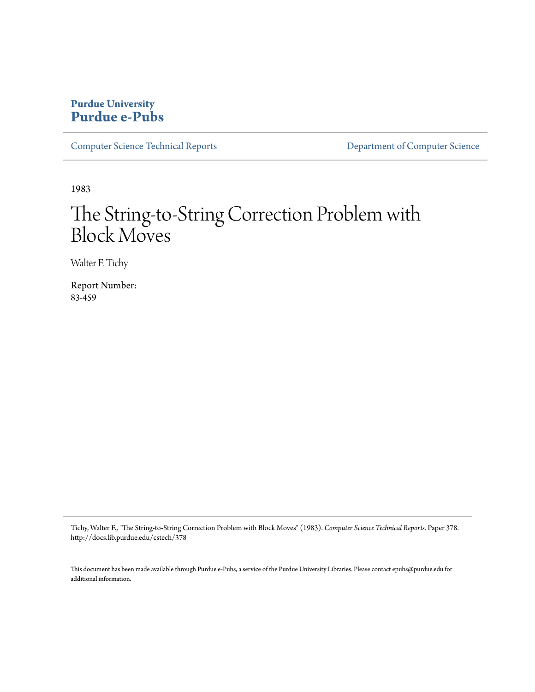## **Purdue University [Purdue e-Pubs](http://docs.lib.purdue.edu)**

[Computer Science Technical Reports](http://docs.lib.purdue.edu/cstech) [Department of Computer Science](http://docs.lib.purdue.edu/comp_sci)

1983

# The String-to-String Correction Problem with Block Moves

Walter F. Tichy

Report Number: 83-459

Tichy, Walter F., "The String-to-String Correction Problem with Block Moves" (1983). *Computer Science Technical Reports.* Paper 378. http://docs.lib.purdue.edu/cstech/378

This document has been made available through Purdue e-Pubs, a service of the Purdue University Libraries. Please contact epubs@purdue.edu for additional information.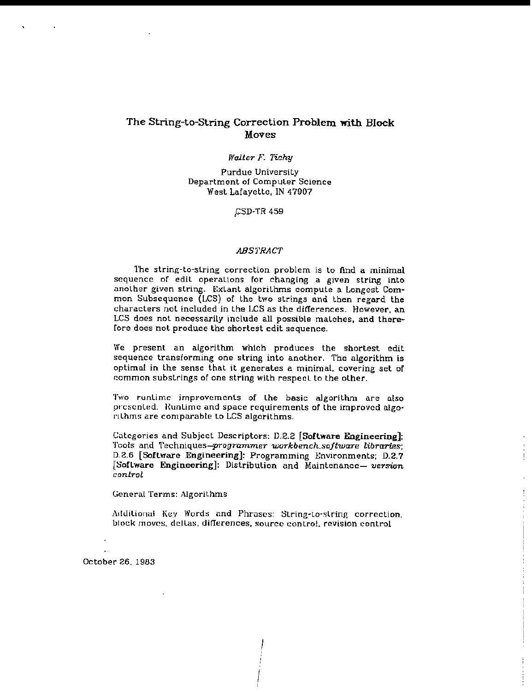## The String-to-String Correction Problem with Block Moves

#### *Waller* F. *Tichy*

Purdue Universily Department of Computer Science West Lafayette, IN 47907

,CSD-TR 459

#### **ABSTRACT**

The string-to-string correction problem is to find a minimal sequence of edit operalions for changing a given string into another given string. Extant algorithms compute a Longest Common Subsequence (LCS) of the two strings and then regard the characters not included in the LCS as the differences. However, an LCS does not necessarily include all possible matches, and therefore does not produce the shortest edit sequence.

We present an algorithm which produces the shortest edit sequence transforming one string into another. The algorithm is optimal in the sense that it generates a minimal, covering set of common substrings of one string with respect to the other.

Two runtime improvements of Lhe basic algorithm are also presented. Runlime and space requirements of the improved algorithms are comparable to LCS algorithms.

Categories and Subject Descriptors: D.2.2 [Sollware Engineering]: Tools and Techniques-programmer workbench.software libraries; D.2.6 [Software Engineering]: Programming Environments; D.2.7 [Software Engineering]: Distribution and Maintenance- version *conlrol*

General Terms: Algorithms

Additional Key Words and Phrases: String-to-string correction, block moves, deltas, differences, source control, revision control

October 26,1983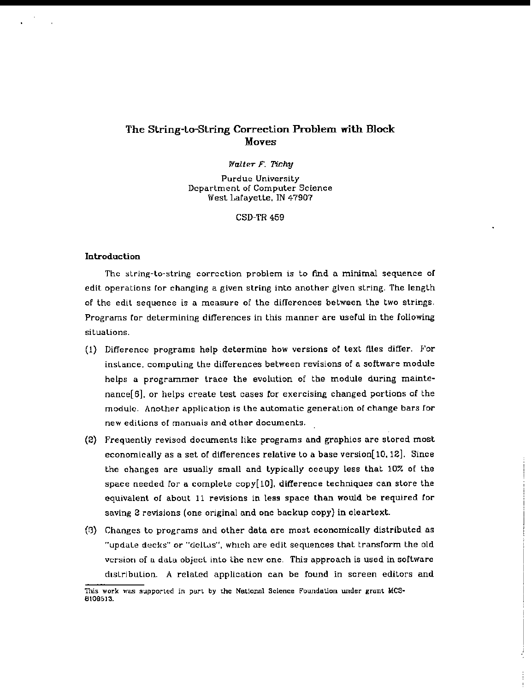## The String-to-String Correction Problem with Block Moves

*Walter F.* Tichy

Purdue University Department of Computer Sctence West Lafayette, IN 47907

CSD-TR 459

#### **Introduction**

The string-lo-string correction problem is to find a minimal sequence of edit operations for changing a given string inlo another given string. The length of the edit sequence is a measure of the differences between the two strings, Programs for determining differences in this manner are useful in the following situalions.

- (1) Difference programs help determine how versions of text files differ. For inslance, computing the differences between revisions of a software module helps a programmer trace the evolution of the module during maintenance $[6]$ , or helps create test cases for exercising changed portions of the module. Another appllcation is the automatic generation of change bars for new editions of manuals and ather documents.
- (2) Frequently revised documents like programs and graphics are stored most economically as a set of differences relatiye to a base yersion[lO,12]. Since the changes are usually small and typically occupy less that 10% of the space needed for a complete copy $[10]$ , difference techniques can store the equivalent of about 11 revisions in less space than would be required tor saving 2 revisions (one original and one backup copy) in cleartext.
- (3) Changes to programs and other data are most economically distributed as "updale decks" or "dclLus", whIch are edit sequences that transform the old version of a data object into the new one. This approach is used in software distribution. A related application can be found in screen editors and

This work was supported in part by the National Science Foundation under grant MCS-6109513.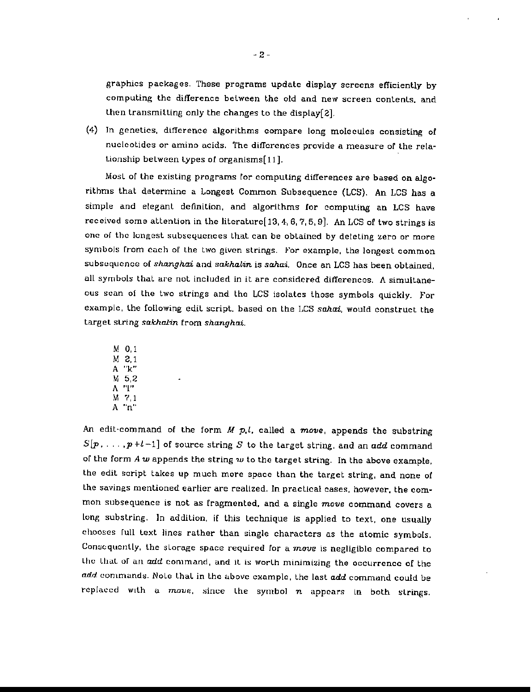graphics packages. These programs update display screens efficiently by computing the difference belween the old and new screen contents, and then transmitting only the changes to the display[2].

(4) In genetics, difference algorithms compare long molecules consisting of nucleotides or amino acids. The differences provide a measure of the rela-Lionship between types of organlsms[ 11].

Most of the existing programs for computing differences are based on algorithms that determine a Longest Common Subsequence (LCS). An LCS has a simple and elegant definition, and algorithms for computing an LCS have received some attention in the literaturc $[13, 4, 6, 7, 5, 9]$ . An LCS of two strings is one of the longest subsequences that can be obtained by deleting zero or more symbols from each of the two given strings. For example, the longest common subsequcnce of *shanghai* and *sakhalin* is *sahai.* Once an LCS has been obtained, all symbols that are not included in it are considered differences. A simultaneous scan of the two strings and the LCS isolates those symbols quickly. For example, the follOWing edit script, based on the LCS *sakai.* would construct the target string *sakhalin* from *shanghai*.

M 0,1 M 2.1 A "k" M 5,2 A "I" M 7,1 A "n"

An edit-command of the form  $M$  p.l. called a move, appends the substring  $S[p_1, \ldots, p+l-1]$  of source string  $S$  to the target string, and an add command of the form A *w* appends the string *w* to the target string. In the above example. the edit script takes up much more space than the target string, and none of the savings mentioned earlier are realized. In practical cases, however, the common subsequence is not as fragmented. and a single *move* command covers a long substring. In addition, if this technique is applied to text, one usually chooses full text lines rather than single characters as the atomic symbols. Consequently, the storage space required for a  $move$  is negligible compared to the that of an add command, and it is worth minimizing the occurrence of the  $\emph{add commands. Note that in the above example, the last  $\emph{add}$  command could be$ replaced with a *move*, since the symbol *n* appears in both strings.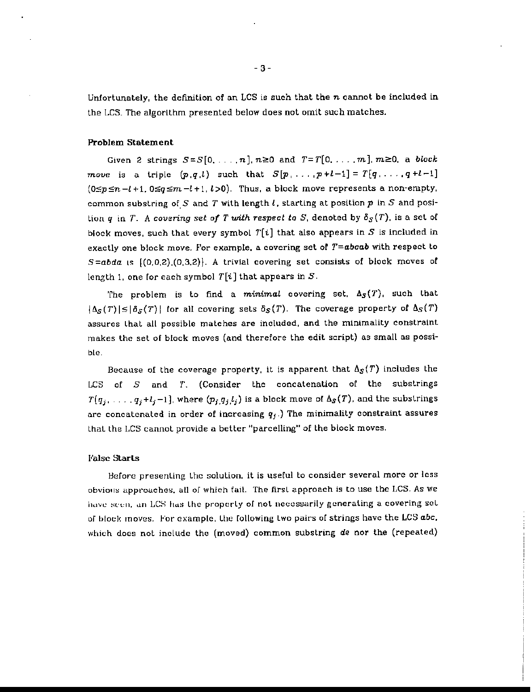Unfortunately, the definition of an LCS is such that the *n* cannot be included in the LCS. The algorithm presented below does nol omit such matches.

#### Problem Statement

Given 2 strings  $S = S[0, ..., n], n \ge 0$  and  $T = T[0, ..., m], m \ge 0$ , a *block move* is a triple  $(p,q,l)$  such that  $S[p_1, \ldots, p+l-1] = T[q_1, \ldots, q+l-1]$  $(0 \leq p \leq n-l+1, 0 \leq q \leq m-l+1, l >0)$ . Thus, a block move represents a non-empty. common substring of S and T with length  $l$ , starting at position  $p$  in S and posilion *q* in *T.* A *covering* set of *T* with respect to *S*, denoted by  $\delta_S(T)$ , is a set of block moves, such that every symbol  $T[i]$  that also appears in S is included in exactly one block move. For example, a covering set of  $T=abcab$  with respect to  $S = abda$  is  $(0,0,2), (0,3,2)$ . A trivial covering set consists of block moves of length 1, one for each symbol  $T[i]$  that appears in  $S$ .

The problem is to find a minimal covering set,  $\Delta_S(T)$ , such that  $|\Delta_S(T)| \leq |\delta_S(T)|$  for all covering sets  $\delta_S(T)$ . The coverage property of  $\Delta_S(T)$ assures Lhat all possible matches are included, and the minimality constraint makes the set of block moves (and therefore the edit script) as small as possible.

Because of the coverage property, it is apparent that  $\Delta_S(T)$  includes the LCS of  $S$  and  $T$ . (Consider the concatenation of the substrings  $T(q_j, \ldots, q_j+l_j-1]$ , where  $(p_j,q_j,l_j)$  is a block move of  $\Delta_S(T)$ , and the substrings are concatenated in order of increasing  $q_j$ .) The minimality constraint assures that the LCS cannot provide a better "parcelling" of the block moves.

#### False Starts

Before presenting the solution, it is useful to consider several more or less obvious approaches, all of which fail. The first approach is to use the LCS. As we have seen, an LCS has the property of not necessarily generating a covering set of block moves. For example, the following two pairs of strings have the LCS abc, which does nol include the (moved) common substring de nor the (repeated)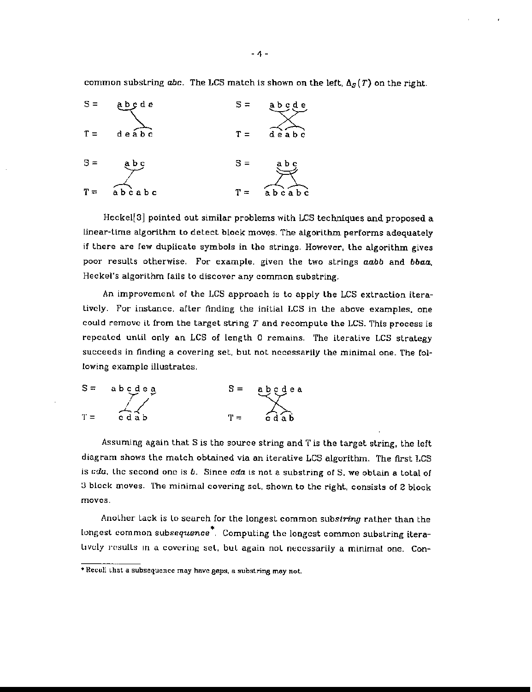common substring abc. The LCS match is shown on the left,  $\Delta_S(T)$  on the right.



Heckel[3] pointed out similar problems with LCS techniques and proposed a linear-time algorithm to detect block moves. The algorithm performs adequately if there are few duplicate symbols in the strings. However, the algorithm gives poor results otherwise. For example, given the two strings aabb and bbaa. Heckel's algorithm fails to discover any common substring.

An improvement of the LCS approach is to apply the LCS extraction iteratively. For instance, after finding the initial LCS in the above examples. one could remove it from the target string *T* and recompute the LCS. This process is repeated until only an LCS of length 0 remains. The iterative LCS strategy succeeds in finding a covering set, but not nccessarily the minimal one. The following example illustrates.



Assuming again that S is the source string and T is the target string, the left diagram shows the match obtained via an iterative LCS algorithm. The first LCS is *cdu*, the second one is *b*. Since *cda* is not a substring of S, we obtain a total of :J block moves. The minimal covering sel, shown to the right, consists of 2 block moves.

AnoLher tack is Lo search for the longest common *substring* rather than the longest common subsequence<sup>\*</sup>. Computing the longest common substring itera-Lively results in a covering set, but again not necessarily a minimal one. Con-

<sup>\*</sup> Recull that a subsequence may have gaps, a substring may not.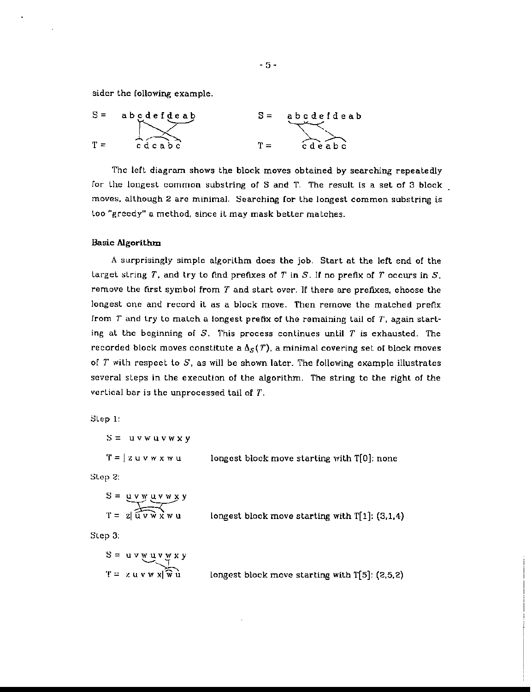sider the following example.

$$
S = abcedefdeab
$$
  
 
$$
T = cdcabc
$$
  
 
$$
S = abcdefdeab
$$
  
 
$$
S = abcdefdeab
$$
  
 
$$
T = cdeabc
$$

The left diagram shows the block moves obtained by searching repeatedly for the longest common substring of S and T. The result is a set of 3 block. moves, although 2 are minimal. Searching for the longest common substring is loo "greedy" a method, since it may mask better matches.

#### Basic Algorithm

A surprisingly simple algorithm does the job. Start at the left end of the target string T, and try to find prefixes of T in S. If no prefix of T occurs in S, remove the tirst symbol from *T* and start over. If there are prefixes. choose the longest one and record it as a block move. Then remove the matched prefix from  $T$  and try to match a longest prefix of the remaining tail of  $T$ , again starting at the beginning of S. This process continues until *T* is exhausted. The recorded block moves constitute a  $\Delta_S(T)$ , a minimal covering set of block moves of *T* with respect to S, as will be shown later. The follOWing example illustrates several steps in the execution of the algorithm. The string to the right of the verlical bar is the unprocessed tail of *T.*

Step 1:

 $S = uvwuvwxy$  $T=\sqrt{z}u v w x w u$ longest block move starting with T[O]: none

Slep 2:

$$
S = \underbrace{u \cdot w \cdot u \cdot v \cdot w}_{\text{T} = z \mid \overbrace{u \cdot v \cdot w \cdot u}_{\text{longest block move starting with T[1] : (3,1,4)}}
$$

Step 3:

$$
S = u v w u v w x y
$$
  
T = z u v w x  $\sqrt{w u}$  longest block move starting with T[5]: (2,5,2)

- 5 -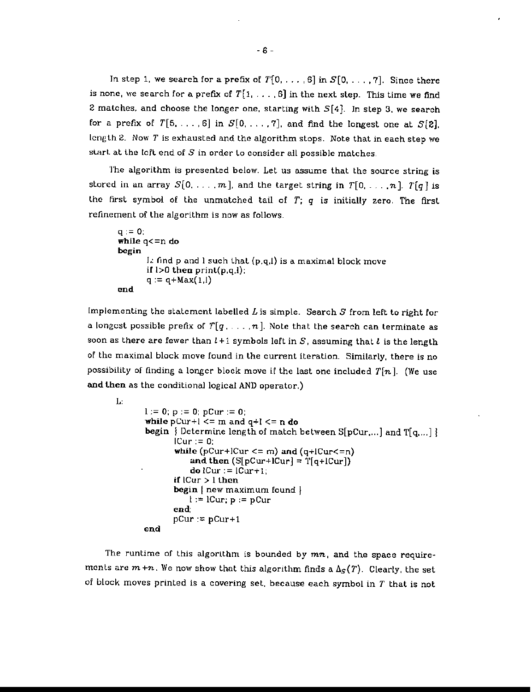In step 1, we search for a prefix of  $T[0, \ldots, 6]$  in  $S[0, \ldots, 7]$ . Since there is none, we search for a prefix of  $T[1, \ldots, 6]$  in the next step. This time we find 2 matches, and choose the longer one, starting with  $S[4]$ . In step 3, we search for a prefix of  $T[5, \ldots, 6]$  in  $S[0, \ldots, 7]$ , and find the longest one at  $S[2]$ , length 2. Now *T* is exhausted and the algorithm stops. Note that in each step we start at the left end of  $S$  in order to consider all possible matches,

The algorithm is presented below. Let us assume that the source string is stored in an array  $S[0, \ldots, m]$ , and the target string in  $T[0, \ldots, n]$ .  $T[q]$  is the first symbol of the unmatched tail of *T; q* is initially zero. The first refinement of the algorithm is now as follows.

```
q := 0;while q<=n do
begin
       1.: find p and 1 such that (p.q.J) is a maximal block move
       if 1>0 then print(p,q,l):
       q := q + Max(1,1)end
```
Implementing the statement labelled  $L$  is simple. Search  $S$  from left to right for a longest possible prefix of  $T[q_1, \ldots, n]$ . Note that the search can terminate as soon as there are fewer than  $l + 1$  symbols left in S, assuming that  $l$  is the length of the maximal block move found in the current iteration. Similarly, there is no possibility of finding a longer block move if the last one included  $T[n]$ . (We use and lhen as the conditional logical AND operator.)

```
L:
       1:= 0; p := 0; pCur := 0;while pCur+1 \leq m and q+l \leq n do
       begin \{ Determine length of match between S[pCur....] and T[q,...] \}ICur := 0;
              while (pCur+lCur <= m) and (q+lCur<=n)
                  and then (S[pCur+lCur] = T[q+lCur])do lCur:= lCur+1:
              if |Cur|>1 then
              begin{bmatrix} new maximum found \end{bmatrix}1 := \text{lCur}; p := p\text{Cur}end;
              pCur:= pCur+1end
```
The runtime of this algorithm is bounded by *mn,* and the space require~ ments are  $m+n$ . We now show that this algorithm finds a  $\Delta_S(T)$ . Clearly, the set of block moves printed is a covering set, because each symbol in *T* that is not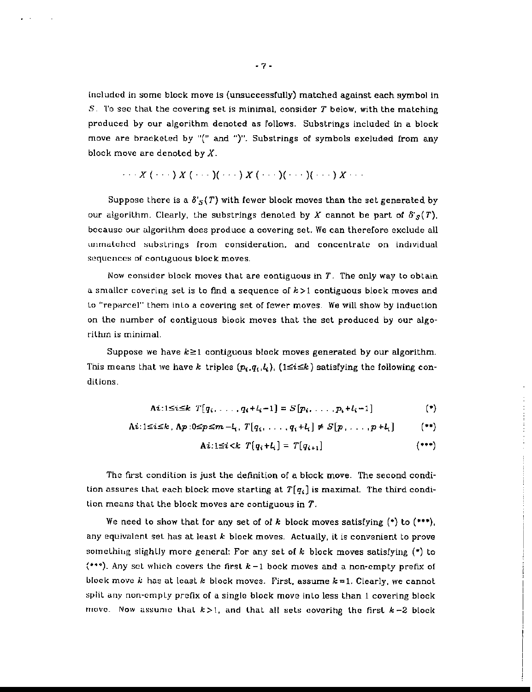included in some block move is (unsuccessfully) matched against each symbol in S. 'I'D sec thaL the covering set is minimal, consider *T* below, with the matching produced by our algorithm denoted as follows. Substrings included in a block move are bracketed by "(" and ")". Substrings of symbols excluded from any block move are denoted by  $X$ .

$$
\cdots X(\cdots) X(\cdots)(\cdots) X(\cdots) (X(\cdots)(\cdots) (\cdots) X \cdots
$$

Suppose there is a  $\delta'_{S}(T)$  with fewer block moves than the set generated by our algorithm. Clearly, the substrings denoted by *X* cannot be part of  $\delta'_{S}(T)$ , because our algorithm does produce a covering set. We can therefore exclude all unmatched substrings from consideration, and concentrate on individual sequences of contiguous block moves.

Now consider block moves that are contiguous in  $T$ . The only way to obtain a smaller covering set is to find a sequence of  $k > 1$  contiguous block moves and Lo "reporcel" them inLa a covering set of fewer moves. We will show by induction on Lhe number of contiguous block moves that the set produced by our algoriLhm is minimal.

Suppose we have  $k \geq 1$  contiguous block moves generated by our algorithm. This means that we have k triples  $(p_i,q_i,l_i)$ ,  $(1 \le i \le k)$  satisfying the following conditions.

$$
\mathbf{A}i:1\leq i\leq k \hspace{0.2cm} T[q_i,\ldots,q_i+l_i-1]=S[p_i,\ldots,p_i+l_i-1] \hspace{1.5cm} (*)
$$

$$
\mathsf{A}i: 1 \leq i \leq k \; , \; \mathsf{A}p: 0 \leq p \leq m - l_i, \; T[q_i, \ldots, q_i + l_i] \neq S[p, \ldots, p + l_i] \qquad (*)
$$

$$
\mathbf{A}\mathbf{i}:1\leq\mathbf{i}< k \hspace{0.2cm} T\big(q_{\mathbf{i}}+l_{\mathbf{i}}\big)=T\big(q_{\mathbf{i}+1}\big) \hspace{1.5cm} \tag{***}
$$

The first condition is just the definition of a block move. The second condition assures that each block move starting at  $T[q_i]$  is maximal. The third condition means that the block moves are contiguous in  $T$ .

We need to show that for any set of of  $k$  block moves satisfying  $(*)$  to  $(**),$ any equivalent set has at least *k* block moves. Actually, it is convenient to prove something slightly more general: For any set of *k* block moves satisfying (\*) to (\*\*\*). Any set which covers the first  $k-1$  bock moves and a non-empty prefix of block move k has at least k block moves. First, assume  $k=1$ . Clearly, we cannot split any non-emply prefix of a single block move into less than 1 covering block move. Now assume that  $k>1$ , and that all sets covering the first  $k-2$  block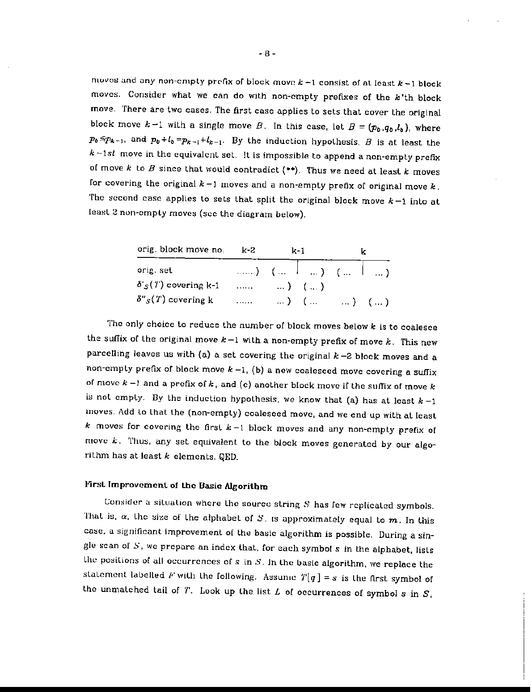moves and any non-empty profix of block move  $k-1$  consist of at least  $k-1$  block moves. Consider what we can do with non-empty prefixes of the k'th block move. There are two cases. The first case applies to sets that cover the original block move  $k-1$  with a single move B. In this case, let  $B = (p_b, q_b, l_b)$ , where  $p_b \leq p_{k-1}$ , and  $p_b + l_b = p_{k-1} + l_{k-1}$ . By the induction hypothesis, *B* is at least the  $k-1st$  move in the equivalent set. It is impossible to append a non-empty prefix of move  $k$  to  $B$  since that would contradict  $(**)$ . Thus we need at least  $k$  moves for covering the original  $k-1$  moves and a non-empty prefix of original move  $k$ . The second case applies to sets that split the original block move  $k-1$  into at least 2 non-emply moves (sec the diagram below).

| orig. block move no. k-2                |        | k-1.                   |                                                              |
|-----------------------------------------|--------|------------------------|--------------------------------------------------------------|
| orig. set                               |        |                        | $\ldots$ (iii) $(\ldots + \ldots)$ (iii) $(\ldots + \ldots)$ |
| $\delta'_{\mathcal{S}}(T)$ covering k-1 |        | $\ldots$ $\ldots$ ) () |                                                              |
| $\delta''_S(T)$ covering k              | 2000 E |                        | $\ldots$ ) ( $\ldots$ ) ( $\ldots$ ) ( $\ldots$ )            |

The only chotce to reduce the number of block moves below *k* is to coalesce the suffix of the original move  $k-1$  with a non-empty prefix of move  $k$ . This new parcelling leaves us with (a) <sup>a</sup> set covering the original *k* -2 block moves and <sup>a</sup> non-empty prefix of block move  $k-1$ , (b) a new coalesced move covering a suffix of move  $k-1$  and a prefix of  $k$ , and (c) another block move if the suffix of move  $k$ is not empty. By the induction hypothesis, we know that (a) has at least  $k-1$ moves. Add Lo that Lhe (non-empty) coalesced move, and we end up with at least *k* moves for covering the firsL *k* -1 block moves and any non~cmpty prefix of move  $k$ . Thus, any set equivalent to the block moves generated by our algorilhm has at least *k* elements. QED.

## First Improvement of the Basic Algorithm

Consider a situation where the source string *S* has few replicated symbols. That is,  $\alpha$ , the size of the alphabet of *S*, is approximately equal to m. In this case, a significant improvement of the basic algorithm is possible. During a single scan of *S,* we prepare an index that. for each symbol s in the alphabet. lisls the positions of all occurrences of *s* in *S.* In Lhe basic algorithm, we replace the statement labelled F with the following. Assume  $T[q] = s$  is the first symbol of the unmatched tail of  $T$ . Look up the list  $L$  of occurrences of symbol  $s$  in  $S$ .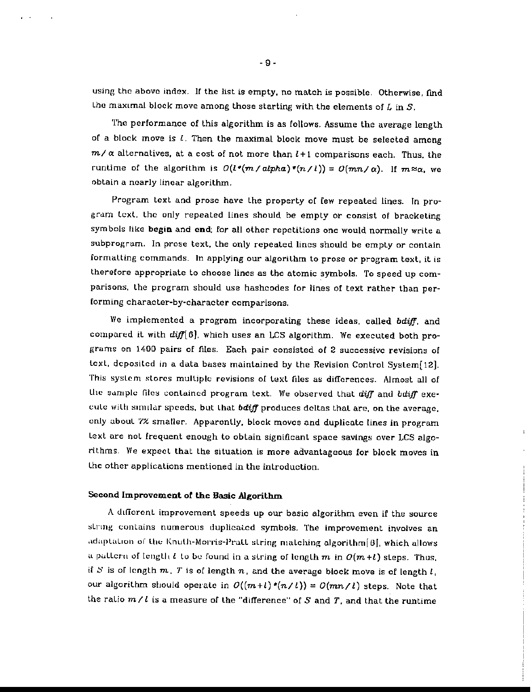using the above index. If the list is empty, no match is possible. Otherwise, find the maximal block move among those starting with the elements of  $L$  in  $S$ .

The performance of this algorithm is as follows. Assume the average length of a block move is *l.* Then the maximal block move must be selected among  $m/\alpha$  alternatives, at a cost of not more than  $l+1$  comparisons each. Thus, the runtime of the algorithm is  $O(l^*(m/alpha)*m/l)) = O(mn/\alpha)$ . If  $m \approx \alpha$ , we obtain a nearly linear algorithm.

Program text and prose have the property of few repeated lines. In progrdm text, the only repeated lines should be empty or consist of bracketing symbols like begin and end; for all other repetitions one would normally write a subprogram. In prose text, the only repeated lines should be empty or contain formatting commands. In applying our algorilhm to prose or program text, it is therefore appropriate to choose lines as the atomic symbols. To speed up comparisons, the program should use hashcodes for lines of text rather than performing character-by-character comparisons.

We implemented a program incorporating these ideas, called *bdiff,* and compared it with *difflGJ,* which uses an LCS algorithm. We executed both programs on 1400 pairs of fIles. Each pair consisted of 2 successive revisions of texl, deposited in a data bases maintained by the Revision Control System[12]. This system stores multiple revisions of text files as differences. Almost all of Une sample files contained program text. We observed that diff and bdiff exeeute with similar speeds, but that *bdiff* produces deltas that are, on the average, only aboul '1% smaller. Apparcnlly, block *moves* and duplicate lines in program lext are not frequent enough to obtain significant space savings over LCS algorithms. We expect that the situation is more advantageous for block moves in lhe other applications mentioned in the introduction.

## Second Improvement of the Basic Algorithm

A different improvement speeds up our basic algorithm even if the source string contains numerous duplicated symbols. The improvement involves an adaptation of the Knuth-Morris-Pratt string matching algorithm[B], which allows a pallern of length t to be found in a string of length  $m$  in  $O(m+l)$  steps. Thus, if S is of length  $m$ , T is of length  $n$ , and the average block move is of length  $l$ , our algorithm should operate in  $O((m+l)*(n/l)) = O(mn/l)$  steps. Note that the ratio  $m / l$  is a measure of the "difference" of S and T, and that the runtime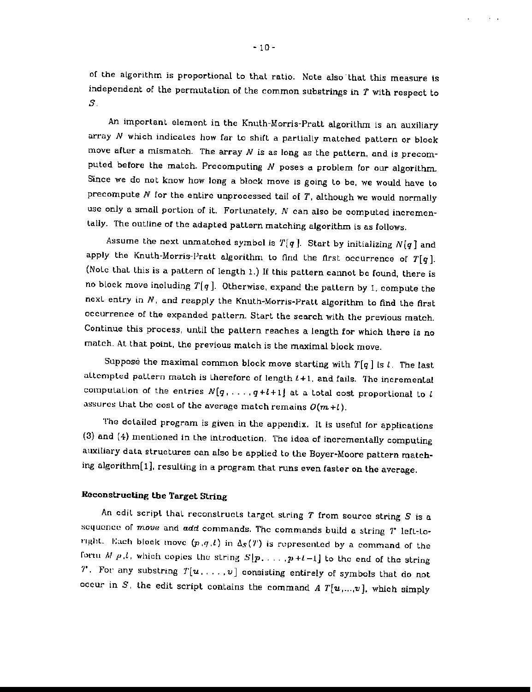of the algorithm is proportional to that ratio. Note also that this measure is independent of the permutation of the common substrings in  $T$  with respect to s.

An important element in the Knuth-Morris-Pratt algorithm is an auxiliary array N which indicales how far to shift a partially matched pattern or block move after a mismatch. The array *N* is as long as the pattern, and is precomputed before the match. Precomputing *N* poses a problem for our algorithm. Since we do not know how long a block move is going to be, we would have to precompute  $N$  for the entire unprocessed tail of  $T$ , although we would normally use only a small portion of it. Fortunately,  $N$  can also be computed incrementally. The outline of the adapted pattern matching algorithm is as follows.

Assume the next unmatched symbol is  $T[q]$ . Start by initializing  $N[q]$  and apply the Knuth-Morris-Pratt algorithm to find the first occurrence of  $T[q]$ . (NoLe that this is a paLtern of length 1.) If this pattern cannot be found, there is no block move including  $T[q]$ . Otherwise, expand the pattern by 1, compute the next entry in  $N$ , and reapply the Knuth-Morris-Pratt algorithm to find the first occurrence of the expanded pattern. Start the search with the previous match. Continue this process, until the pattern reaches a length for which there is no match. At that point. the previous match is the maximal block move.

Suppose the maximal common block move starting with  $T[q]$  is  $l$ . The last altempted pattern match is therefore of length  $l+1$ , and fails. The incremental computation of the entries  $N[q_1, \ldots, q+l+1]$  at a total cost proportional to *l* assures that the cost of the average match remains  $O(m+l)$ .

The detailed program is given in the appendix. It is useful for applications (3) and (4) mentioned in the introduction. The idea of incrementally computing aUXiliary data structures can also be applied to the Boyer·Moore pattern matching algorithm[1], resulting in a program that runs even faster on the average.

### Reconstructing the Target String

An edit script that reconstructs target string *T* from source string *S* is a sequence of *move* and *add* commands. The commands build a string *T*' left-toright. Each block move  $(p,q,l)$  in  $\Delta_S(T)$  is represented by a command of the form  $M(p,l)$ , which copies the string  $S[p, \ldots, p+l-1]$  to the end of the string 7'. For any substring  $T[u, \ldots, v]$  consisting entirely of symbols that do not occur in S, the edit script contains the command A  $T[u, ..., v]$ , which simply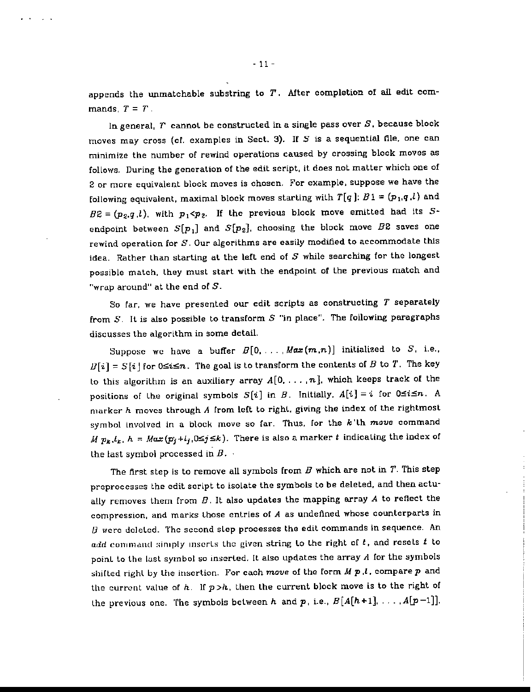appends the unmatchable substring to *T,* After completion of all edit commands,  $T = T$ .

In general, *T* cannol be constructed in a single pass over *S,* because block moves may cross (cf. examples in Sect. 3). If *S* is a sequential file, one can minimize the number of rewind operations caused by crossing block moves as follows. During the generation of the edit script, it does not matter which one of 2 or more equivalent block moves is chosen. For example, suppose we have the following equivalent, maximal block moves starting with  $T[q]$ :  $B_1 = (p_1, q_1)$  and  $B2 = (p_2, q, l)$ , with  $p_1 < p_2$ . If the previous block move emitted had its Sendpoint between  $S[p_1]$  and  $S[p_2]$ , choosing the block move  $B2$  saves one rewind operation for  $S$ . Our algorithms are easily modified to accommodate this idea. Rather than starting at the left end of *S* while searching for the longest possible match, they must start with the endpoint of the previous match and "wrap around" at the end of S.

So far, we have presented our edit scripts as constructing  $T$  separately from  $S$ . It is also possible to transform  $S$  "in place". The following paragraphs discusses the algorithm in some detail.

Suppose we have a buffer  $B[0, \ldots, Max(m,n)]$  initialized to S, i.e.,  $B[i] = S[i]$  for  $0 \le i \le n$ . The goal is to transform the contents of B to T. The key to this algorithm is an auxiliary array  $A[0,\ldots,n]$ , which keeps track of the positions of the original symbols  $S[i]$  in B. Initially.  $A[i] = i$  for  $0 \le i \le n$ . A marker h moves through A from left to righl, giving the index of the rightmost symbol involved in a block move so far. Thus, for the  $k$ 'lh move command M  $p_k, l_k$ ,  $h = Max(p_j + l_j, 0 \leq j \leq k)$ . There is also a marker *t* indicating the index of the last symbol processed in  $B.$ 

The first step is to remove all symbols from *B* which are not in *T.* This step preprocesses the edit script to isolate the symbols to be deleted. and then actually removes them from *B.* It also updates the mapping array *A* to reflecl the compression, and marks lhose entries of A as undefined whose counterparts in  $B$  were deleted. The second slep processes the edit commands in sequence. An add command simply inserts the given string to the right of *t*, and resets *t* to point to the last symbol so inserted. It also updates the array  $A$  for the symbols shifted righL by Lhe insertion. For each *move* of the form M P ,t, compare p and the current value of  $h$ . If  $p > h$ , then the current block move is to the right of the previous one. The symbols between h and p, i.e.,  $B[A[h+1], \ldots, A[p-1]],$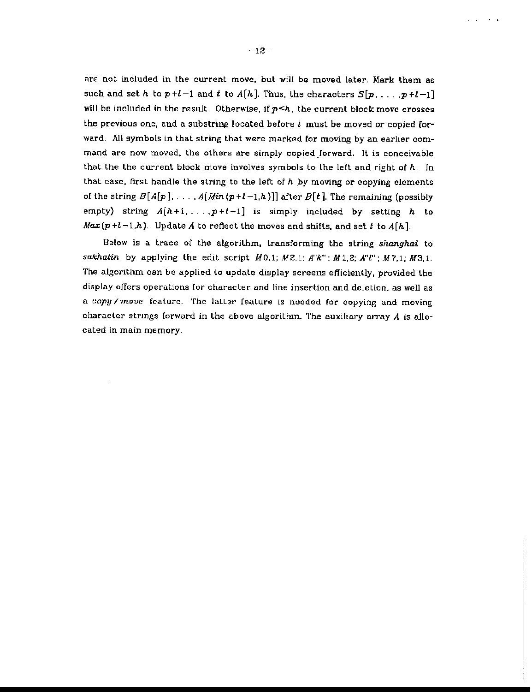are not included in the current move. but will be moved later. Mark them as such and set h to  $p+l-1$  and  $t$  to  $A[h]$ . Thus, the characters  $S[p_1, \ldots, p+l-1]$ will be included in the result. Otherwise, if  $p \leq h$ , the current block move crosses the previous one, and a substring located before *t* must be moved or copied forward. All symbols in that string that were marked for moving by an earlier command are now moved, the others are simply copied forward. It is conceivable that lhe the current block move involves symbols to the left and right of *h.* In that case. first handle the string to the left of *h* by moving or copying elements of the string  $B[A[p], \ldots, A(Min(p+l-1,h))]$  after  $B[t]$ . The remaining (possibly empty) string  $A[h+1, \ldots, p+l-1]$  is simply included by setting h to  $Max(p+l-1,h)$ . Update A to reflect the moves and shifts, and set *t* to  $A[h]$ .

Below is a trace of the algorithm. transforming the string shanghai to sakhalin by applying the edit script  $M0,1; M2,1; A"k"$ ;  $M1,2; A"l"$ ;  $M7,1; M3,1.$ The algorithm can be applied to update display screens efficiently, provided the display offers operations for character and line insertion and deletion, as well as a copy/move feature. The latter feature is needed for copying and moving character strings forward in the above algorithm. The auxiliary array *A* is allocated in main memory.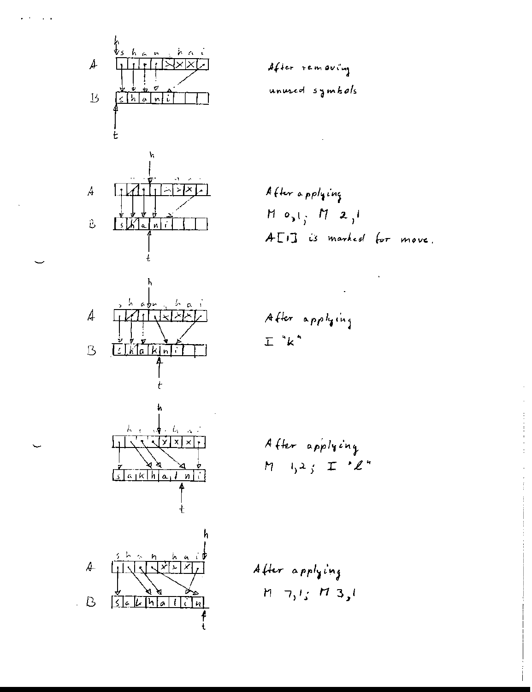

*A,{J.e.r* **... (."'" QV':''''J v.-.".** I,... ...uf *<sup>5</sup> a*wo. *<sup>h</sup> (J* If.

$$
\mathcal{L}^{\mathcal{L}}(\mathcal{L}^{\mathcal{L}}(\mathcal{L}^{\mathcal{L}}(\mathcal{L}^{\mathcal{L}}(\mathcal{L}^{\mathcal{L}}(\mathcal{L}^{\mathcal{L}}(\mathcal{L}^{\mathcal{L}}(\mathcal{L}^{\mathcal{L}}(\mathcal{L}^{\mathcal{L}}(\mathcal{L}^{\mathcal{L}}(\mathcal{L}^{\mathcal{L}}(\mathcal{L}^{\mathcal{L}}(\mathcal{L}^{\mathcal{L}}(\mathcal{L}^{\mathcal{L}}(\mathcal{L}^{\mathcal{L}}(\mathcal{L}^{\mathcal{L}}(\mathcal{L}^{\mathcal{L}}(\mathcal{L}^{\mathcal{L}}(\mathcal{L}^{\mathcal{L}}(\mathcal{L}^{\mathcal{L}}(\mathcal{L}^{\mathcal{L}}(\mathcal{L}^{\mathcal{L}}(\mathcal{L}^{\mathcal{L}}(\mathcal{L}^{\mathcal{L}}(\mathcal{L}^{\mathcal{L}}(\mathcal{L}^{\mathcal{L}}(\mathcal{L}^{\mathcal{L}}(\mathcal{L}^{\mathcal{L}}(\mathcal{L}^{\mathcal{L}}(\mathcal{L}^{\mathcal{L}}(\mathcal{L}^{\mathcal{L}}(\mathcal{L}^{\mathcal{L}}(\mathcal{L}^{\mathcal{L}}(\mathcal{L}^{\mathcal{L}}(\mathcal{L}^{\mathcal{L}}(\mathcal{L}^{\mathcal{L}}(\mathcal{L}^{\mathcal{L}}(\mathcal{L}^{\mathcal{L}}(\mathcal{L}^{\mathcal{L}}(\mathcal{L}^{\mathcal{L}}(\mathcal{L}^{\mathcal{L}}(\mathcal{L}^{\mathcal{L}}(\mathcal{L}^{\mathcal{L}}(\mathcal{L}^{\mathcal{L}}(\mathcal{L}^{\mathcal{L}}(\mathcal{L}^{\mathcal{L}}(\mathcal{L}^{\mathcal{L}}(\mathcal{L}^{\mathcal{L}}(\mathcal{L}^{\mathcal{L}}(\mathcal{L}^{\mathcal{L}}(\mathcal{L}^{\mathcal{L}}(\mathcal{L}^{\mathcal{L}}(\mathcal{L}^{\mathcal{L}}(\mathcal{L}^{\mathcal{L}}(\mathcal{L}^{\mathcal{L}}(\mathcal{L}^{\mathcal{L}}(\mathcal{L}^{\mathcal{L}}(\mathcal{L}^{\mathcal{L}}(\mathcal{L}
$$

*A*{k,.. • ""/1 ,'~j H 0,1; *N :1..,'* A- ["I] "' """"...I (.r *W>* • "" .

A{k". .r('I~'·"l **.L "k"**

After applying  

$$
M = 1,2,3
$$
  $\pm 2$ 

After applying  

$$
M = 7, 1; M = 3, 1
$$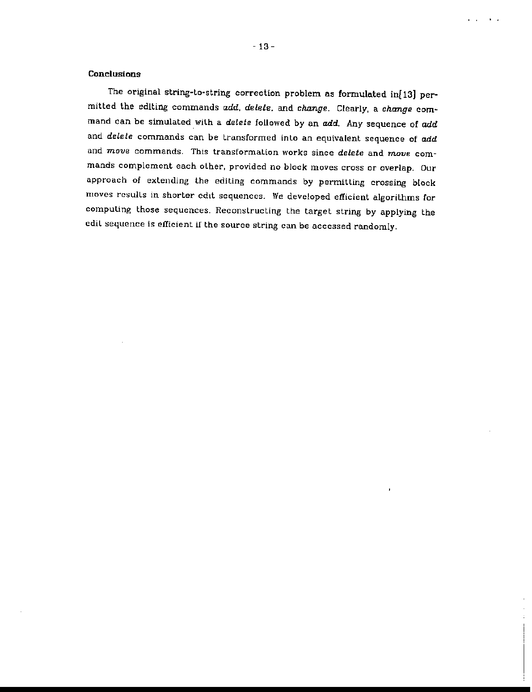#### **Conclusions**

The original string-to-string correction problem as formulated in[13] permitted the edIting commands *add, delete.* and *change.* Clearly, a *change* command can be simulated with a *delete* followed by an *add*. Any sequence of *add* and *delete* commands can be transformed into an equivalent sequence of add and *move* commands. This transformation works since *delete* and move commands complement each other, provided no block moves cross or overlap. Our approach of extending the editing commands by permitting crossing btock moves results in shorter edit sequences. We developed efficient algorithms for compuling those sequences. Reconstructing the target string by applying the edil sequence is efficient if the source string can be accessed randomly.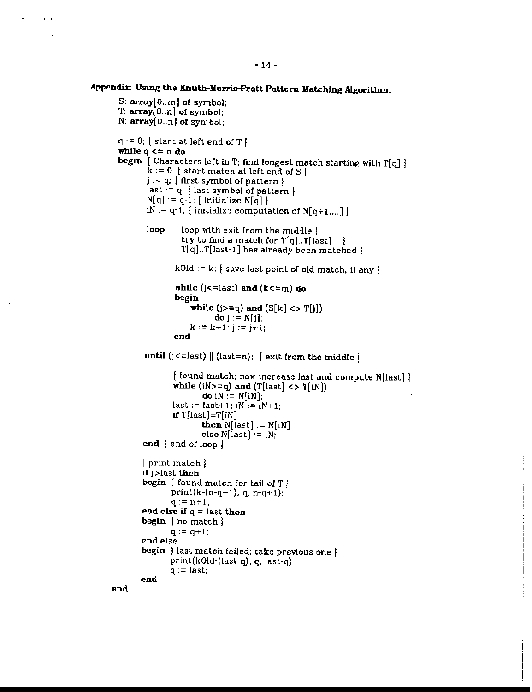$\sim$ 

```
S: array[D.. m] of symbol;
 T: array[0..n] of symbol;
 N: array[D..n] of symbol:
 q := 0; | start at left end of T }
 while q \leq n do
 begin \left\{ Characters left in T; find longest match starting with T[q] \right\}k := 0; I start match at left end of S I
        j := q; { first symbol of pattern }
        last:= q: { last symbol of pattern }
        N[q] := q-1; \{ initialize N[q] \}iN := q-1; initialize computation of N[q+1,...]loop [loop with exit from the middle ]
                I try to find a match for T[q]. T[ last] \bigcap[T[q]..T[ last-1] has already been matched ]kOld := k; \} save last point of old match, if any \}while (j<=last) and (k<=m) do
               begin
                   while (j>=q) and (S[k] < > T[j])do j := N[j];
                   k := k+1; j := j+1;end
        until (j \leq -last) \| (last=n); \| exit from the middle \}\{ found match; now increase last and compute N[last] \}while (iN>=q) and (T[last] <gt; T[iN])do iN := N[iN];
               last := last + 1; iN := iN + 1;if T[last]=T[iN]
                      then N[last] := N[iN]else N[last] := iN;end \{ end of loop \}[ print match ]
       if j>lasL then
       begin | found match for tail of T }
              print(k-(n-q+1), q, n-q+1);
              q := n+1;end else if q = last then
       begin | no match |q := q + 1;
       end else
       begin | last match failed; take previous one |
              print(kOld-(last-q), q, last-g)
              q := last;
       end
end
```
 $\frac{1}{4}$  $\frac{1}{4}$ 

 $\mathbf{1}$ Ĵ.